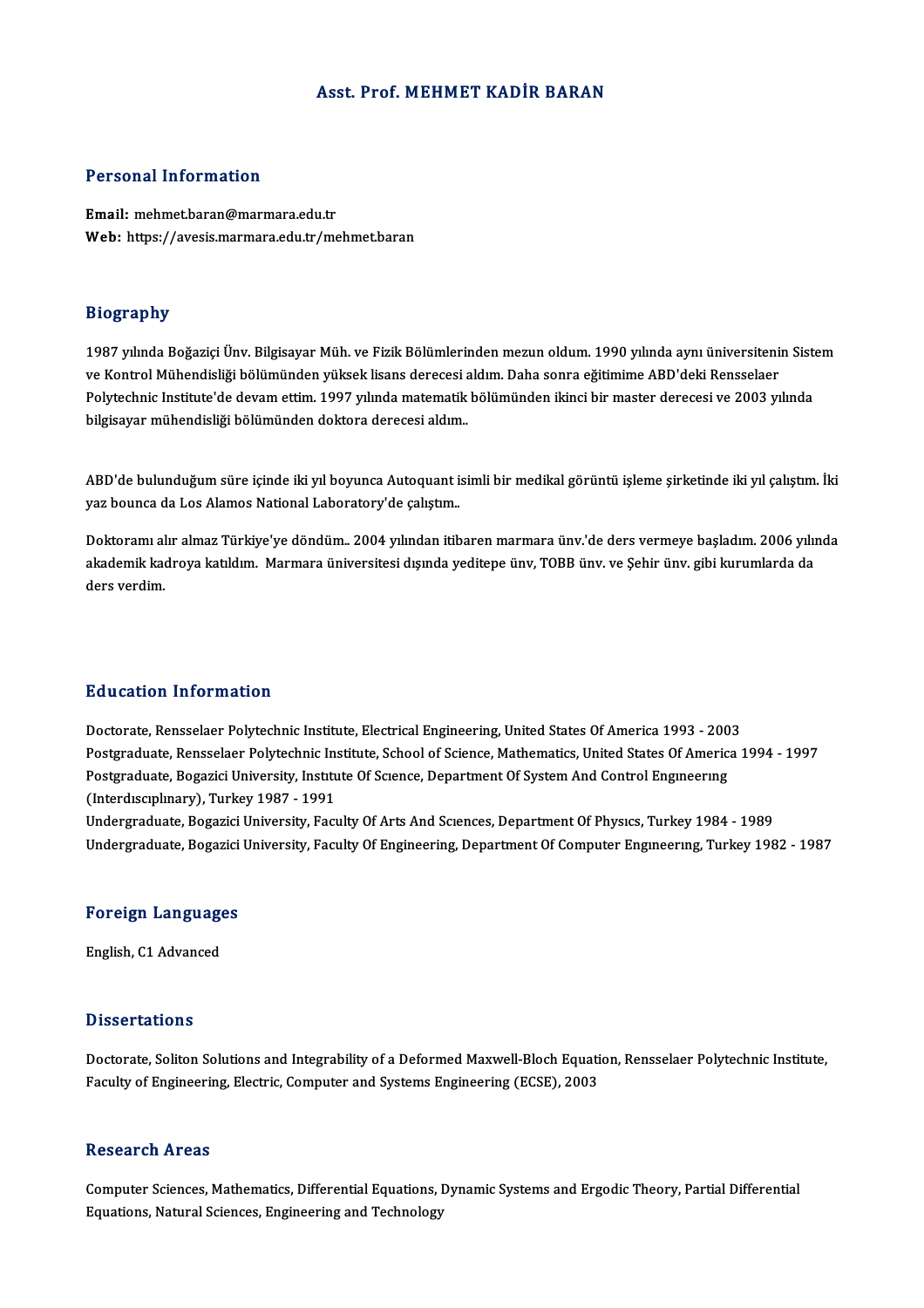# Asst. Prof.MEHMET KADİR BARAN

### Personal Information

Email:mehmet.baran@marmara.edu.tr Web: https://avesis.marmara.edu.tr/mehmet.baran

# Biography

Bi**ography**<br>1987 yılında Boğaziçi Ünv. Bilgisayar Müh. ve Fizik Bölümlerinden mezun oldum. 1990 yılında aynı üniversitenin Sistem<br>ve Kantral Mühandisliği bölümünden vülsek lisans deresesi aldım. Daha sanra eğitimime ABD'de versyelipm)<br>1987 yılında Boğaziçi Ünv. Bilgisayar Müh. ve Fizik Bölümlerinden mezun oldum. 1990 yılında aynı üniversiteni<br>Polytechnis Institute'de devem ettim. 1997 yılında matematik bölümünden ikinci bir master deressel v 1987 yılında Boğaziçi Ünv. Bilgisayar Müh. ve Fizik Bölümlerinden mezun oldum. 1990 yılında aynı üniversitenin Sist<br>ve Kontrol Mühendisliği bölümünden yüksek lisans derecesi aldım. Daha sonra eğitimime ABD'deki Rensselaer<br> ve Kontrol Mühendisliği bölümünden yüksek lisans derecesi<br>Polytechnic Institute'de devam ettim. 1997 yılında matematik<br>bilgisayar mühendisliği bölümünden doktora derecesi aldım. bilgisayar mühendisliği bölümünden doktora derecesi aldım.<br>ABD'de bulunduğum süre içinde iki yıl boyunca Autoquant isimli bir medikal görüntü işleme şirketinde iki yıl çalıştım. İki

yaz bounca da Los Alamos National Laboratory'de çalıştım.

Doktoramı alır almaz Türkiye'ye döndüm. 2004 yılından itibaren marmara ünv.'de ders vermeye başladım. 2006 yılında yaz bounca da Bos Alamos Nadonal Baboratory de çalıştım.<br>Doktoramı alır almaz Türkiye'ye döndüm.. 2004 yılından itibaren marmara ünv.'de ders vermeye başladım. 2006 yılı<br>akademik kadroya katıldım. Marmara üniversitesi dış Doktoramı al<br>akademik kaı<br>ders verdim.

# Education Information

Education Information<br>Doctorate, Rensselaer Polytechnic Institute, Electrical Engineering, United States Of America 1993 - 2003<br>Postsraduate Pensselaer Polytechnic Institute School of Science Mathematics United States Of A Postgraduate, Rensselaer Polytechnic Institute, School of Science, Mathematics, United States Of America 1994 - 1997 Doctorate, Rensselaer Polytechnic Institute, Electrical Engineering, United States Of America 1993 - 200<br>Postgraduate, Rensselaer Polytechnic Institute, School of Science, Mathematics, United States Of Americ:<br>Postgraduate Postgraduate, Bogazici University, Institute Of Science, Department Of System And Control Engineering<br>(Interdisciplinary), Turkey 1987 - 1991

Undergraduate, Bogazici University, Faculty Of Arts And Sciences, Department Of Physics, Turkey 1984 - 1989 Undergraduate, Bogazici University, Faculty Of Engineering, Department Of Computer Engineering, Turkey 1982 - 1987

# <sub>ondergraduate, bogazici<br>Foreign Languages</sub> F<mark>oreign Languag</mark>e<br>English, C1 Advanced

English, C1 Advanced<br>Dissertations

Doctorate, Soliton Solutions and Integrability of a Deformed Maxwell-Bloch Equation, Rensselaer Polytechnic Institute, Faculty of Engineering, Electric, Computer and Systems Engineering (ECSE), 2003

### Research Areas

Computer Sciences, Mathematics, Differential Equations, Dynamic Systems and Ergodic Theory, Partial Differential Equations, Natural Sciences, Engineering and Technology